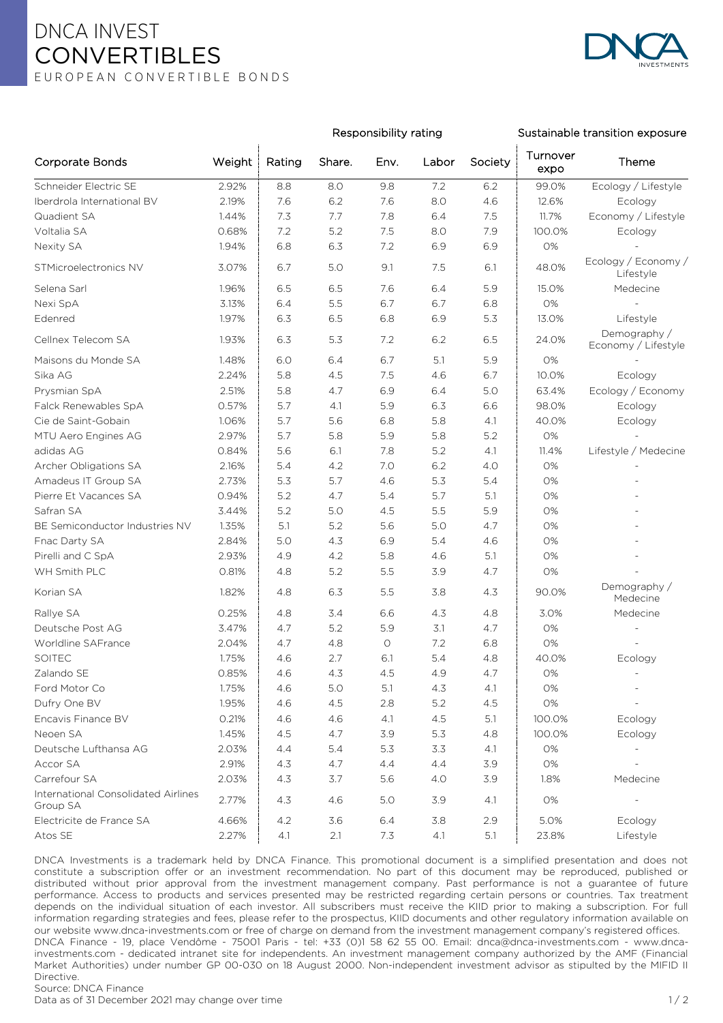## DNCA INVEST **CONVERTIBLES** E U R O P E A N C O N V E R T I B L E B O N D S



## Responsibility rating Sustainable transition exposure

| <b>Corporate Bonds</b>                          | Weight | Rating | Share.  | Env.       | Labor | Society | Turnover<br>expo | Theme                               |
|-------------------------------------------------|--------|--------|---------|------------|-------|---------|------------------|-------------------------------------|
| Schneider Electric SE                           | 2.92%  | 8.8    | 8.0     | 9.8        | 7.2   | 6.2     | 99.0%            | Ecology / Lifestyle                 |
| Iberdrola International BV                      | 2.19%  | 7.6    | 6.2     | 7.6        | 8.0   | 4.6     | 12.6%            | Ecology                             |
| Quadient SA                                     | 1.44%  | 7.3    | 7.7     | 7.8        | 6.4   | 7.5     | 11.7%            | Economy / Lifestyle                 |
| Voltalia SA                                     | 0.68%  | 7.2    | 5.2     | 7.5        | 8.0   | 7.9     | 100.0%           | Ecology                             |
| Nexity SA                                       | 1.94%  | 6.8    | 6.3     | 7.2        | 6.9   | 6.9     | 0%               |                                     |
| STMicroelectronics NV                           | 3.07%  | 6.7    | 5.0     | 9.1        | 7.5   | 6.1     | 48.0%            | Ecology / Economy /<br>Lifestyle    |
| Selena Sarl                                     | 1.96%  | 6.5    | 6.5     | 7.6        | 6.4   | 5.9     | 15.0%            | Medecine                            |
| Nexi SpA                                        | 3.13%  | 6.4    | 5.5     | 6.7        | 6.7   | 6.8     | 0%               |                                     |
| Edenred                                         | 1.97%  | 6.3    | 6.5     | 6.8        | 6.9   | 5.3     | 13.0%            | Lifestyle                           |
| Cellnex Telecom SA                              | 1.93%  | 6.3    | 5.3     | 7.2        | 6.2   | 6.5     | 24.0%            | Demography /<br>Economy / Lifestyle |
| Maisons du Monde SA                             | 1.48%  | 6.0    | 6.4     | 6.7        | 5.1   | 5.9     | 0%               |                                     |
| Sika AG                                         | 2.24%  | 5.8    | 4.5     | 7.5        | 4.6   | 6.7     | 10.0%            | Ecology                             |
| Prysmian SpA                                    | 2.51%  | 5.8    | 4.7     | 6.9        | 6.4   | 5.0     | 63.4%            | Ecology / Economy                   |
| Falck Renewables SpA                            | 0.57%  | 5.7    | 4.1     | 5.9        | 6.3   | 6.6     | 98.0%            | Ecology                             |
| Cie de Saint-Gobain                             | 1.06%  | 5.7    | 5.6     | 6.8        | 5.8   | 4.1     | 40.0%            | Ecology                             |
| MTU Aero Engines AG                             | 2.97%  | 5.7    | 5.8     | 5.9        | 5.8   | 5.2     | 0%               |                                     |
| adidas AG                                       | 0.84%  | 5.6    | 6.1     | 7.8        | 5.2   | 4.1     | 11.4%            | Lifestyle / Medecine                |
| Archer Obligations SA                           | 2.16%  | 5.4    | 4.2     | 7.0        | 6.2   | 4.0     | 0%               |                                     |
| Amadeus IT Group SA                             | 2.73%  | 5.3    | 5.7     | 4.6        | $5.3$ | 5.4     | 0%               |                                     |
| Pierre Et Vacances SA                           | 0.94%  | 5.2    | 4.7     | 5.4        | 5.7   | 5.1     | 0%               |                                     |
| Safran SA                                       | 3.44%  | 5.2    | 5.0     | 4.5        | 5.5   | 5.9     | 0%               |                                     |
| BE Semiconductor Industries NV                  | 1.35%  | 5.1    | 5.2     | 5.6        | 5.0   | 4.7     | 0%               |                                     |
| Fnac Darty SA                                   | 2.84%  | 5.0    | 4.3     | 6.9        | 5.4   | 4.6     | 0%               |                                     |
| Pirelli and C SpA                               | 2.93%  | 4.9    | 4.2     | 5.8        | 4.6   | 5.1     | 0%               |                                     |
| WH Smith PLC                                    | 0.81%  | 4.8    | 5.2     | 5.5        | 3.9   | 4.7     | 0%               |                                     |
| Korian SA                                       | 1.82%  | 4.8    | 6.3     | 5.5        | 3.8   | 4.3     | 90.0%            | Demography /<br>Medecine            |
| Rallye SA                                       | 0.25%  | 4.8    | 3.4     | 6.6        | 4.3   | 4.8     | 3.0%             | Medecine                            |
| Deutsche Post AG                                | 3.47%  | 4.7    | 5.2     | 5.9        | 3.1   | 4.7     | 0%               |                                     |
| Worldline SAFrance                              | 2.04%  | 4.7    | 4.8     | $\bigcirc$ | 7.2   | 6.8     | 0%               |                                     |
| SOITEC                                          | 1.75%  | 4.6    | 2.7     | 6.1        | 5.4   | 4.8     | 40.0%            | Ecology                             |
| Zalando SE                                      | 0.85%  | 4.6    | 4.3     | 4.5        | 4.9   | 4.7     | 0%               |                                     |
| Ford Motor Co                                   | 1.75%  | 4.6    | $5.0\,$ | 5.1        | 4.3   | 4.1     | 0%               |                                     |
| Dufry One BV                                    | 1.95%  | 4.6    | 4.5     | 2.8        | 5.2   | 4.5     | 0%               | $\blacksquare$                      |
| Encavis Finance BV                              | 0.21%  | 4.6    | 4.6     | 4.1        | 4.5   | 5.1     | 100.0%           | Ecology                             |
| Neoen SA                                        | 1.45%  | 4.5    | 4.7     | 3.9        | 5.3   | 4.8     | 100.0%           | Ecology                             |
| Deutsche Lufthansa AG                           | 2.03%  | 4.4    | 5.4     | 5.3        | 3.3   | 4.1     | 0%               |                                     |
| Accor SA                                        | 2.91%  | 4.3    | 4.7     | 4.4        | 4.4   | 3.9     | 0%               | $\blacksquare$                      |
| Carrefour SA                                    | 2.03%  | 4.3    | 3.7     | 5.6        | 4.0   | 3.9     | 1.8%             | Medecine                            |
| International Consolidated Airlines<br>Group SA | 2.77%  | 4.3    | 4.6     | 5.0        | 3.9   | 4.1     | 0%               |                                     |
| Electricite de France SA                        | 4.66%  | 4.2    | 3.6     | 6.4        | 3.8   | 2.9     | 5.0%             | Ecology                             |
| Atos SE                                         | 2.27%  | 4.1    | 2.1     | 7.3        | 4.1   | 5.1     | 23.8%            | Lifestyle                           |

DNCA Investments is a trademark held by DNCA Finance. This promotional document is a simplified presentation and does not constitute a subscription offer or an investment recommendation. No part of this document may be reproduced, published or distributed without prior approval from the investment management company. Past performance is not a guarantee of future performance. Access to products and services presented may be restricted regarding certain persons or countries. Tax treatment depends on the individual situation of each investor. All subscribers must receive the KIID prior to making a subscription. For full information regarding strategies and fees, please refer to the prospectus, KIID documents and other regulatory information available on our website www.dnca-investments.com or free of charge on demand from the investment management company's registered offices. DNCA Finance - 19, place Vendôme - 75001 Paris - tel: +33 (0)1 58 62 55 00. Email: dnca@dnca-investments.com - www.dncainvestments.com - dedicated intranet site for independents. An investment management company authorized by the AMF (Financial Market Authorities) under number GP 00-030 on 18 August 2000. Non-independent investment advisor as stipulted by the MIFID II Directive.

Data as of 31 December 2021 may change over time 1 / 2